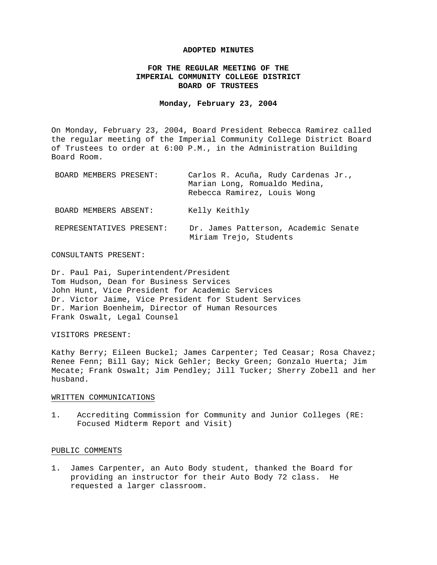#### **ADOPTED MINUTES**

### **FOR THE REGULAR MEETING OF THE IMPERIAL COMMUNITY COLLEGE DISTRICT BOARD OF TRUSTEES**

#### **Monday, February 23, 2004**

On Monday, February 23, 2004, Board President Rebecca Ramirez called the regular meeting of the Imperial Community College District Board of Trustees to order at 6:00 P.M., in the Administration Building Board Room.

| BOARD MEMBERS PRESENT:   | Carlos R. Acuña, Rudy Cardenas Jr.,<br>Marian Long, Romualdo Medina,<br>Rebecca Ramirez, Louis Wong |
|--------------------------|-----------------------------------------------------------------------------------------------------|
| BOARD MEMBERS ABSENT:    | Kelly Keithly                                                                                       |
| REPRESENTATIVES PRESENT: | Dr. James Patterson, Academic Senate<br>Miriam Trejo, Students                                      |

### CONSULTANTS PRESENT:

Dr. Paul Pai, Superintendent/President Tom Hudson, Dean for Business Services John Hunt, Vice President for Academic Services Dr. Victor Jaime, Vice President for Student Services Dr. Marion Boenheim, Director of Human Resources Frank Oswalt, Legal Counsel

#### VISITORS PRESENT:

Kathy Berry; Eileen Buckel; James Carpenter; Ted Ceasar; Rosa Chavez; Renee Fenn; Bill Gay; Nick Gehler; Becky Green; Gonzalo Huerta; Jim Mecate; Frank Oswalt; Jim Pendley; Jill Tucker; Sherry Zobell and her husband.

#### WRITTEN COMMUNICATIONS

1. Accrediting Commission for Community and Junior Colleges (RE: Focused Midterm Report and Visit)

#### PUBLIC COMMENTS

1. James Carpenter, an Auto Body student, thanked the Board for providing an instructor for their Auto Body 72 class. He requested a larger classroom.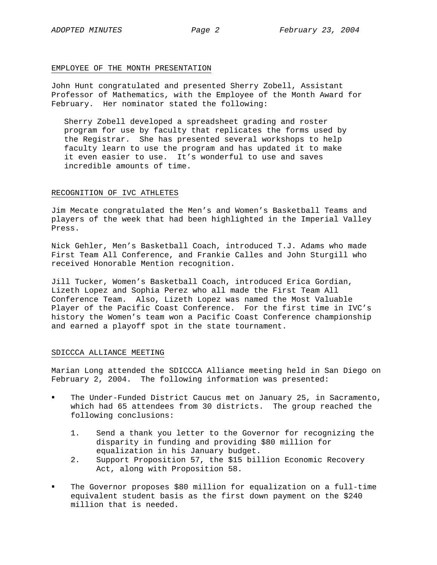#### EMPLOYEE OF THE MONTH PRESENTATION

John Hunt congratulated and presented Sherry Zobell, Assistant Professor of Mathematics, with the Employee of the Month Award for February. Her nominator stated the following:

Sherry Zobell developed a spreadsheet grading and roster program for use by faculty that replicates the forms used by the Registrar. She has presented several workshops to help faculty learn to use the program and has updated it to make it even easier to use. It's wonderful to use and saves incredible amounts of time.

### RECOGNITION OF IVC ATHLETES

Jim Mecate congratulated the Men's and Women's Basketball Teams and players of the week that had been highlighted in the Imperial Valley Press.

Nick Gehler, Men's Basketball Coach, introduced T.J. Adams who made First Team All Conference, and Frankie Calles and John Sturgill who received Honorable Mention recognition.

Jill Tucker, Women's Basketball Coach, introduced Erica Gordian, Lizeth Lopez and Sophia Perez who all made the First Team All Conference Team. Also, Lizeth Lopez was named the Most Valuable Player of the Pacific Coast Conference. For the first time in IVC's history the Women's team won a Pacific Coast Conference championship and earned a playoff spot in the state tournament.

### SDICCCA ALLIANCE MEETING

Marian Long attended the SDICCCA Alliance meeting held in San Diego on February 2, 2004. The following information was presented:

- The Under-Funded District Caucus met on January 25, in Sacramento, which had 65 attendees from 30 districts. The group reached the following conclusions:
	- 1. Send a thank you letter to the Governor for recognizing the disparity in funding and providing \$80 million for equalization in his January budget.
	- 2. Support Proposition 57, the \$15 billion Economic Recovery Act, along with Proposition 58.
- The Governor proposes \$80 million for equalization on a full-time equivalent student basis as the first down payment on the \$240 million that is needed.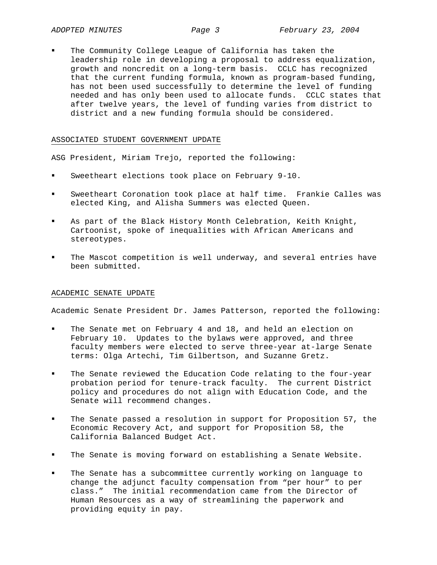The Community College League of California has taken the leadership role in developing a proposal to address equalization, growth and noncredit on a long-term basis. CCLC has recognized that the current funding formula, known as program-based funding, has not been used successfully to determine the level of funding needed and has only been used to allocate funds. CCLC states that after twelve years, the level of funding varies from district to district and a new funding formula should be considered.

#### ASSOCIATED STUDENT GOVERNMENT UPDATE

ASG President, Miriam Trejo, reported the following:

- Sweetheart elections took place on February 9-10.
- Sweetheart Coronation took place at half time. Frankie Calles was elected King, and Alisha Summers was elected Queen.
- As part of the Black History Month Celebration, Keith Knight, Cartoonist, spoke of inequalities with African Americans and stereotypes.
- The Mascot competition is well underway, and several entries have been submitted.

#### ACADEMIC SENATE UPDATE

Academic Senate President Dr. James Patterson, reported the following:

- The Senate met on February 4 and 18, and held an election on February 10. Updates to the bylaws were approved, and three faculty members were elected to serve three-year at-large Senate terms: Olga Artechi, Tim Gilbertson, and Suzanne Gretz.
- The Senate reviewed the Education Code relating to the four-year probation period for tenure-track faculty. The current District policy and procedures do not align with Education Code, and the Senate will recommend changes.
- The Senate passed a resolution in support for Proposition 57, the Economic Recovery Act, and support for Proposition 58, the California Balanced Budget Act.
- The Senate is moving forward on establishing a Senate Website.
- The Senate has a subcommittee currently working on language to change the adjunct faculty compensation from "per hour" to per class." The initial recommendation came from the Director of Human Resources as a way of streamlining the paperwork and providing equity in pay.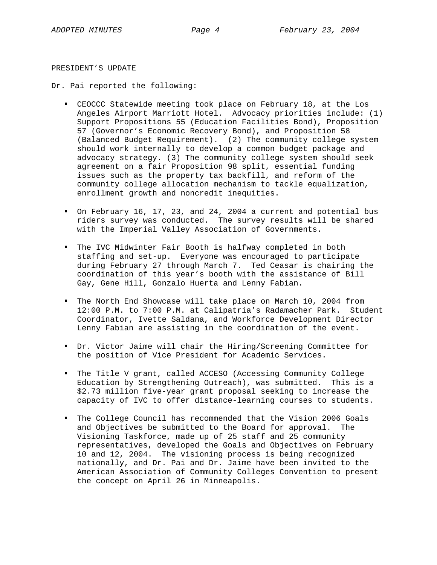#### PRESIDENT'S UPDATE

Dr. Pai reported the following:

- CEOCCC Statewide meeting took place on February 18, at the Los Angeles Airport Marriott Hotel. Advocacy priorities include: (1) Support Propositions 55 (Education Facilities Bond), Proposition 57 (Governor's Economic Recovery Bond), and Proposition 58 (Balanced Budget Requirement). (2) The community college system should work internally to develop a common budget package and advocacy strategy. (3) The community college system should seek agreement on a fair Proposition 98 split, essential funding issues such as the property tax backfill, and reform of the community college allocation mechanism to tackle equalization, enrollment growth and noncredit inequities.
- On February 16, 17, 23, and 24, 2004 a current and potential bus riders survey was conducted. The survey results will be shared with the Imperial Valley Association of Governments.
- The IVC Midwinter Fair Booth is halfway completed in both staffing and set-up. Everyone was encouraged to participate during February 27 through March 7. Ted Ceasar is chairing the coordination of this year's booth with the assistance of Bill Gay, Gene Hill, Gonzalo Huerta and Lenny Fabian.
- The North End Showcase will take place on March 10, 2004 from 12:00 P.M. to 7:00 P.M. at Calipatria's Radamacher Park. Student Coordinator, Ivette Saldana, and Workforce Development Director Lenny Fabian are assisting in the coordination of the event.
- Dr. Victor Jaime will chair the Hiring/Screening Committee for the position of Vice President for Academic Services.
- The Title V grant, called ACCESO (Accessing Community College Education by Strengthening Outreach), was submitted. This is a \$2.73 million five-year grant proposal seeking to increase the capacity of IVC to offer distance-learning courses to students.
- The College Council has recommended that the Vision 2006 Goals and Objectives be submitted to the Board for approval. The Visioning Taskforce, made up of 25 staff and 25 community representatives, developed the Goals and Objectives on February 10 and 12, 2004. The visioning process is being recognized nationally, and Dr. Pai and Dr. Jaime have been invited to the American Association of Community Colleges Convention to present the concept on April 26 in Minneapolis.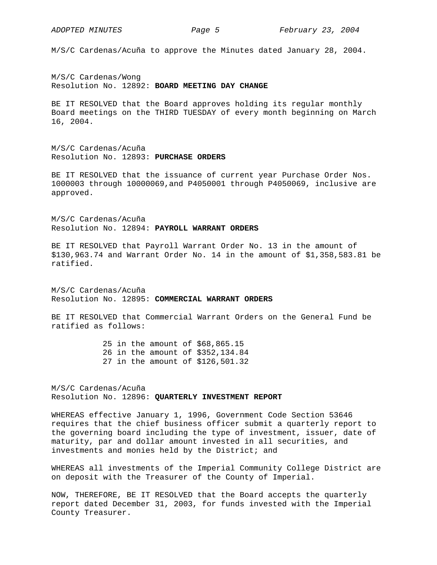M/S/C Cardenas/Acuña to approve the Minutes dated January 28, 2004.

M/S/C Cardenas/Wong Resolution No. 12892: **BOARD MEETING DAY CHANGE**

BE IT RESOLVED that the Board approves holding its regular monthly Board meetings on the THIRD TUESDAY of every month beginning on March 16, 2004.

M/S/C Cardenas/Acuña Resolution No. 12893: **PURCHASE ORDERS**

BE IT RESOLVED that the issuance of current year Purchase Order Nos. 1000003 through 10000069,and P4050001 through P4050069, inclusive are approved.

M/S/C Cardenas/Acuña Resolution No. 12894: **PAYROLL WARRANT ORDERS**

BE IT RESOLVED that Payroll Warrant Order No. 13 in the amount of \$130,963.74 and Warrant Order No. 14 in the amount of \$1,358,583.81 be ratified.

M/S/C Cardenas/Acuña Resolution No. 12895: **COMMERCIAL WARRANT ORDERS**

BE IT RESOLVED that Commercial Warrant Orders on the General Fund be ratified as follows:

> 25 in the amount of \$68,865.15 26 in the amount of \$352,134.84 27 in the amount of \$126,501.32

M/S/C Cardenas/Acuña Resolution No. 12896: **QUARTERLY INVESTMENT REPORT** 

WHEREAS effective January 1, 1996, Government Code Section 53646 requires that the chief business officer submit a quarterly report to the governing board including the type of investment, issuer, date of maturity, par and dollar amount invested in all securities, and investments and monies held by the District; and

WHEREAS all investments of the Imperial Community College District are on deposit with the Treasurer of the County of Imperial.

NOW, THEREFORE, BE IT RESOLVED that the Board accepts the quarterly report dated December 31, 2003, for funds invested with the Imperial County Treasurer.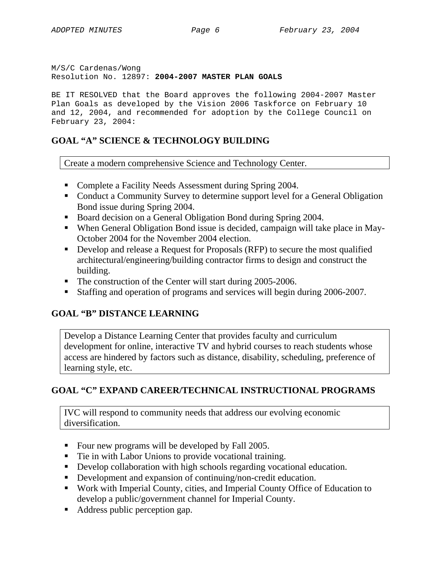M/S/C Cardenas/Wong Resolution No. 12897: **2004-2007 MASTER PLAN GOALS** 

BE IT RESOLVED that the Board approves the following 2004-2007 Master Plan Goals as developed by the Vision 2006 Taskforce on February 10 and 12, 2004, and recommended for adoption by the College Council on February 23, 2004:

# **GOAL "A" SCIENCE & TECHNOLOGY BUILDING**

Create a modern comprehensive Science and Technology Center.

- Complete a Facility Needs Assessment during Spring 2004.
- Conduct a Community Survey to determine support level for a General Obligation Bond issue during Spring 2004.
- Board decision on a General Obligation Bond during Spring 2004.
- When General Obligation Bond issue is decided, campaign will take place in May-October 2004 for the November 2004 election.
- Develop and release a Request for Proposals (RFP) to secure the most qualified architectural/engineering/building contractor firms to design and construct the building.
- The construction of the Center will start during 2005-2006.
- Staffing and operation of programs and services will begin during 2006-2007.

# **GOAL "B" DISTANCE LEARNING**

Develop a Distance Learning Center that provides faculty and curriculum development for online, interactive TV and hybrid courses to reach students whose access are hindered by factors such as distance, disability, scheduling, preference of learning style, etc.

## **GOAL "C" EXPAND CAREER/TECHNICAL INSTRUCTIONAL PROGRAMS**

IVC will respond to community needs that address our evolving economic diversification.

- Four new programs will be developed by Fall 2005.
- Tie in with Labor Unions to provide vocational training.
- Develop collaboration with high schools regarding vocational education.
- Development and expansion of continuing/non-credit education.
- Work with Imperial County, cities, and Imperial County Office of Education to develop a public/government channel for Imperial County.
- Address public perception gap.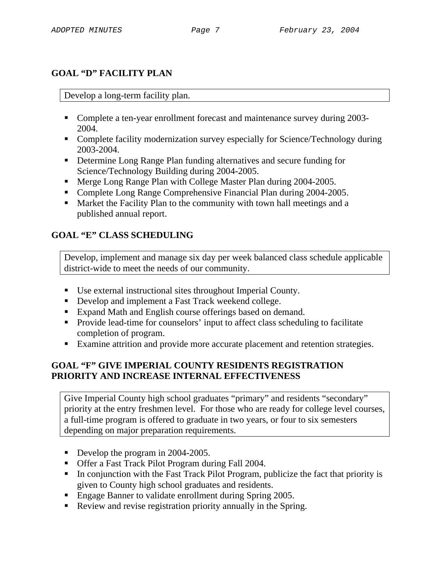## **GOAL "D" FACILITY PLAN**

### Develop a long-term facility plan.

- Complete a ten-year enrollment forecast and maintenance survey during 2003-2004.
- Complete facility modernization survey especially for Science/Technology during 2003-2004.
- Determine Long Range Plan funding alternatives and secure funding for Science/Technology Building during 2004-2005.
- **Merge Long Range Plan with College Master Plan during 2004-2005.**
- Complete Long Range Comprehensive Financial Plan during 2004-2005.
- Market the Facility Plan to the community with town hall meetings and a published annual report.

# **GOAL "E" CLASS SCHEDULING**

Develop, implement and manage six day per week balanced class schedule applicable district-wide to meet the needs of our community.

- Use external instructional sites throughout Imperial County.
- Develop and implement a Fast Track weekend college.
- Expand Math and English course offerings based on demand.
- **Provide lead-time for counselors' input to affect class scheduling to facilitate** completion of program.
- Examine attrition and provide more accurate placement and retention strategies.

### **GOAL "F" GIVE IMPERIAL COUNTY RESIDENTS REGISTRATION PRIORITY AND INCREASE INTERNAL EFFECTIVENESS**

Give Imperial County high school graduates "primary" and residents "secondary" priority at the entry freshmen level. For those who are ready for college level courses, a full-time program is offered to graduate in two years, or four to six semesters depending on major preparation requirements.

- Develop the program in 2004-2005.
- Offer a Fast Track Pilot Program during Fall 2004.
- In conjunction with the Fast Track Pilot Program, publicize the fact that priority is given to County high school graduates and residents.
- **Engage Banner to validate enrollment during Spring 2005.**
- Review and revise registration priority annually in the Spring.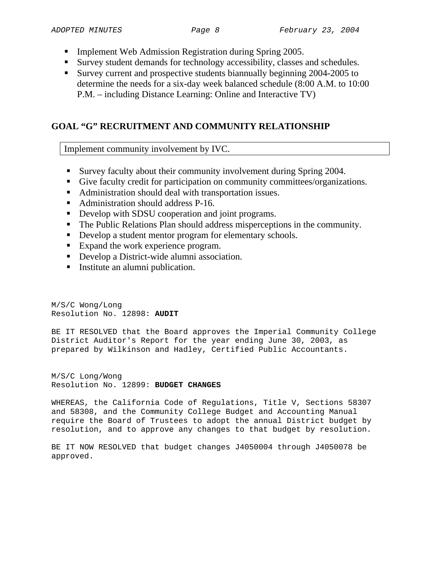- **Implement Web Admission Registration during Spring 2005.**
- Survey student demands for technology accessibility, classes and schedules.
- Survey current and prospective students biannually beginning 2004-2005 to determine the needs for a six-day week balanced schedule (8:00 A.M. to 10:00 P.M. – including Distance Learning: Online and Interactive TV)

# **GOAL "G" RECRUITMENT AND COMMUNITY RELATIONSHIP**

Implement community involvement by IVC.

- Survey faculty about their community involvement during Spring 2004.
- Give faculty credit for participation on community committees/organizations.
- Administration should deal with transportation issues.
- Administration should address P-16.
- Develop with SDSU cooperation and joint programs.
- The Public Relations Plan should address misperceptions in the community.
- Develop a student mentor program for elementary schools.
- Expand the work experience program.
- Develop a District-wide alumni association.
- **Institute an alumni publication.**

M/S/C Wong/Long Resolution No. 12898: **AUDIT** 

BE IT RESOLVED that the Board approves the Imperial Community College District Auditor's Report for the year ending June 30, 2003, as prepared by Wilkinson and Hadley, Certified Public Accountants.

M/S/C Long/Wong Resolution No. 12899: **BUDGET CHANGES**

WHEREAS, the California Code of Regulations, Title V, Sections 58307 and 58308, and the Community College Budget and Accounting Manual require the Board of Trustees to adopt the annual District budget by resolution, and to approve any changes to that budget by resolution.

BE IT NOW RESOLVED that budget changes J4050004 through J4050078 be approved.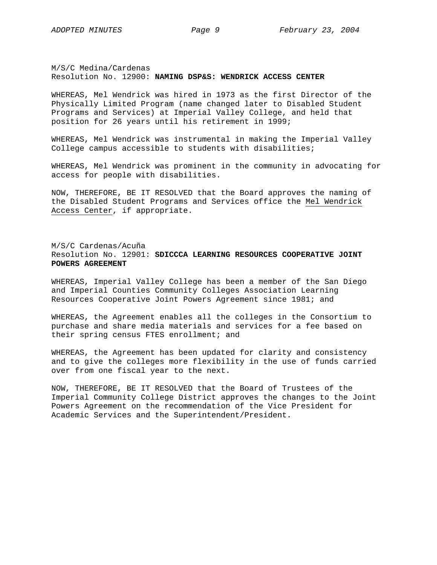M/S/C Medina/Cardenas Resolution No. 12900: **NAMING DSP&S: WENDRICK ACCESS CENTER** 

WHEREAS, Mel Wendrick was hired in 1973 as the first Director of the Physically Limited Program (name changed later to Disabled Student Programs and Services) at Imperial Valley College, and held that position for 26 years until his retirement in 1999;

WHEREAS, Mel Wendrick was instrumental in making the Imperial Valley College campus accessible to students with disabilities;

WHEREAS, Mel Wendrick was prominent in the community in advocating for access for people with disabilities.

NOW, THEREFORE, BE IT RESOLVED that the Board approves the naming of the Disabled Student Programs and Services office the Mel Wendrick Access Center, if appropriate.

M/S/C Cardenas/Acuña Resolution No. 12901: **SDICCCA LEARNING RESOURCES COOPERATIVE JOINT POWERS AGREEMENT**

WHEREAS, Imperial Valley College has been a member of the San Diego and Imperial Counties Community Colleges Association Learning Resources Cooperative Joint Powers Agreement since 1981; and

WHEREAS, the Agreement enables all the colleges in the Consortium to purchase and share media materials and services for a fee based on their spring census FTES enrollment; and

WHEREAS, the Agreement has been updated for clarity and consistency and to give the colleges more flexibility in the use of funds carried over from one fiscal year to the next.

NOW, THEREFORE, BE IT RESOLVED that the Board of Trustees of the Imperial Community College District approves the changes to the Joint Powers Agreement on the recommendation of the Vice President for Academic Services and the Superintendent/President.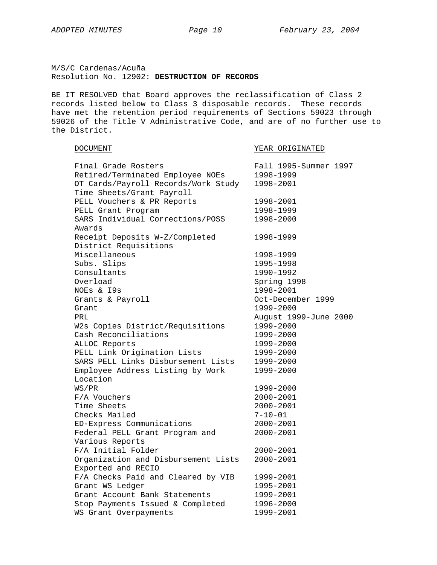M/S/C Cardenas/Acuña Resolution No. 12902: **DESTRUCTION OF RECORDS** 

BE IT RESOLVED that Board approves the reclassification of Class 2 records listed below to Class 3 disposable records. These records have met the retention period requirements of Sections 59023 through 59026 of the Title V Administrative Code, and are of no further use to the District.

| <b>DOCUMENT</b> |
|-----------------|
|                 |

YEAR ORIGINATED

| Final Grade Rosters                 | Fall 1995-Summer 1997 |
|-------------------------------------|-----------------------|
| Retired/Terminated Employee NOEs    | 1998-1999             |
| OT Cards/Payroll Records/Work Study | 1998-2001             |
| Time Sheets/Grant Payroll           |                       |
| PELL Vouchers & PR Reports          | 1998-2001             |
| PELL Grant Program                  | 1998-1999             |
| SARS Individual Corrections/POSS    | 1998-2000             |
| Awards                              |                       |
| Receipt Deposits W-Z/Completed      | 1998-1999             |
| District Requisitions               |                       |
| Miscellaneous                       | 1998-1999             |
| Subs. Slips                         | 1995-1998             |
| Consultants                         | 1990-1992             |
| Overload                            | Spring 1998           |
| NOEs & I9s                          | 1998-2001             |
| Grants & Payroll                    | Oct-December 1999     |
| Grant                               | 1999-2000             |
| PRL                                 | August 1999-June 2000 |
| W2s Copies District/Requisitions    | 1999-2000             |
| Cash Reconciliations                | 1999-2000             |
| ALLOC Reports                       | 1999-2000             |
| PELL Link Origination Lists         | 1999-2000             |
| SARS PELL Links Disbursement Lists  | 1999-2000             |
| Employee Address Listing by Work    | 1999-2000             |
| Location                            |                       |
| WS/PR                               | 1999-2000             |
| F/A Vouchers                        | 2000-2001             |
| Time Sheets                         | 2000-2001             |
| Checks Mailed                       | $7 - 10 - 01$         |
| ED-Express Communications           | 2000-2001             |
| Federal PELL Grant Program and      | $2000 - 2001$         |
| Various Reports                     |                       |
| F/A Initial Folder                  | $2000 - 2001$         |
| Organization and Disbursement Lists | $2000 - 2001$         |
| Exported and RECIO                  |                       |
| F/A Checks Paid and Cleared by VIB  | 1999-2001             |
| Grant WS Ledger                     | 1995-2001             |
| Grant Account Bank Statements       | 1999-2001             |
| Stop Payments Issued & Completed    | 1996-2000             |
| WS Grant Overpayments               | 1999-2001             |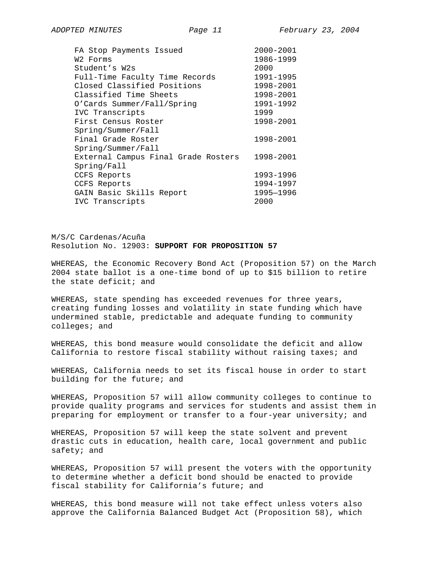| FA Stop Payments Issued             | 2000-2001 |
|-------------------------------------|-----------|
| W2 Forms                            | 1986-1999 |
| Student's W2s                       | 2000      |
| Full-Time Faculty Time Records      | 1991-1995 |
| Closed Classified Positions         | 1998-2001 |
| Classified Time Sheets              | 1998-2001 |
| O'Cards Summer/Fall/Spring          | 1991-1992 |
| IVC Transcripts                     | 1999      |
| First Census Roster                 | 1998-2001 |
| Spring/Summer/Fall                  |           |
| Final Grade Roster                  | 1998-2001 |
| Spring/Summer/Fall                  |           |
| External Campus Final Grade Rosters | 1998-2001 |
| Spring/Fall                         |           |
| CCFS Reports                        | 1993-1996 |
| CCFS Reports                        | 1994-1997 |
| GAIN Basic Skills Report            | 1995-1996 |
| IVC Transcripts                     | 2000      |

M/S/C Cardenas/Acuña Resolution No. 12903: **SUPPORT FOR PROPOSITION 57**

WHEREAS, the Economic Recovery Bond Act (Proposition 57) on the March 2004 state ballot is a one-time bond of up to \$15 billion to retire the state deficit; and

WHEREAS, state spending has exceeded revenues for three years, creating funding losses and volatility in state funding which have undermined stable, predictable and adequate funding to community colleges; and

WHEREAS, this bond measure would consolidate the deficit and allow California to restore fiscal stability without raising taxes; and

WHEREAS, California needs to set its fiscal house in order to start building for the future; and

WHEREAS, Proposition 57 will allow community colleges to continue to provide quality programs and services for students and assist them in preparing for employment or transfer to a four-year university; and

WHEREAS, Proposition 57 will keep the state solvent and prevent drastic cuts in education, health care, local government and public safety; and

WHEREAS, Proposition 57 will present the voters with the opportunity to determine whether a deficit bond should be enacted to provide fiscal stability for California's future; and

WHEREAS, this bond measure will not take effect unless voters also approve the California Balanced Budget Act (Proposition 58), which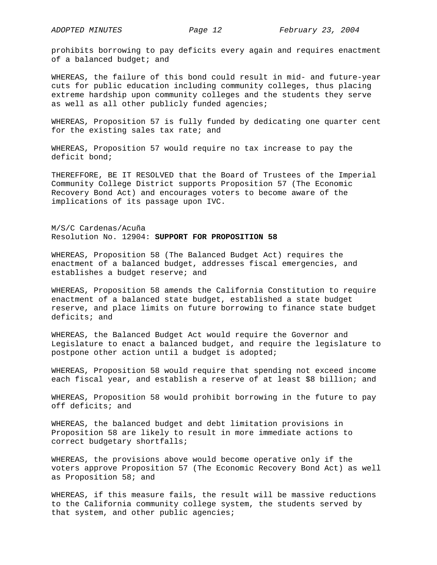prohibits borrowing to pay deficits every again and requires enactment of a balanced budget; and

WHEREAS, the failure of this bond could result in mid- and future-year cuts for public education including community colleges, thus placing extreme hardship upon community colleges and the students they serve as well as all other publicly funded agencies;

WHEREAS, Proposition 57 is fully funded by dedicating one quarter cent for the existing sales tax rate; and

WHEREAS, Proposition 57 would require no tax increase to pay the deficit bond;

THEREFFORE, BE IT RESOLVED that the Board of Trustees of the Imperial Community College District supports Proposition 57 (The Economic Recovery Bond Act) and encourages voters to become aware of the implications of its passage upon IVC.

M/S/C Cardenas/Acuña Resolution No. 12904: **SUPPORT FOR PROPOSITION 58**

WHEREAS, Proposition 58 (The Balanced Budget Act) requires the enactment of a balanced budget, addresses fiscal emergencies, and establishes a budget reserve; and

WHEREAS, Proposition 58 amends the California Constitution to require enactment of a balanced state budget, established a state budget reserve, and place limits on future borrowing to finance state budget deficits; and

WHEREAS, the Balanced Budget Act would require the Governor and Legislature to enact a balanced budget, and require the legislature to postpone other action until a budget is adopted;

WHEREAS, Proposition 58 would require that spending not exceed income each fiscal year, and establish a reserve of at least \$8 billion; and

WHEREAS, Proposition 58 would prohibit borrowing in the future to pay off deficits; and

WHEREAS, the balanced budget and debt limitation provisions in Proposition 58 are likely to result in more immediate actions to correct budgetary shortfalls;

WHEREAS, the provisions above would become operative only if the voters approve Proposition 57 (The Economic Recovery Bond Act) as well as Proposition 58; and

WHEREAS, if this measure fails, the result will be massive reductions to the California community college system, the students served by that system, and other public agencies;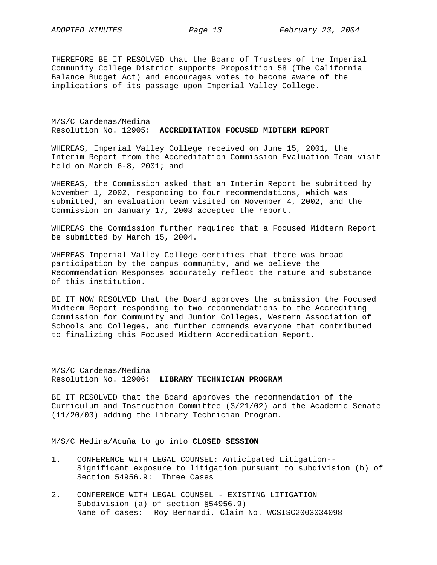THEREFORE BE IT RESOLVED that the Board of Trustees of the Imperial Community College District supports Proposition 58 (The California Balance Budget Act) and encourages votes to become aware of the implications of its passage upon Imperial Valley College.

M/S/C Cardenas/Medina Resolution No. 12905: **ACCREDITATION FOCUSED MIDTERM REPORT**

WHEREAS, Imperial Valley College received on June 15, 2001, the Interim Report from the Accreditation Commission Evaluation Team visit held on March 6-8, 2001; and

WHEREAS, the Commission asked that an Interim Report be submitted by November 1, 2002, responding to four recommendations, which was submitted, an evaluation team visited on November 4, 2002, and the Commission on January 17, 2003 accepted the report.

WHEREAS the Commission further required that a Focused Midterm Report be submitted by March 15, 2004.

WHEREAS Imperial Valley College certifies that there was broad participation by the campus community, and we believe the Recommendation Responses accurately reflect the nature and substance of this institution.

BE IT NOW RESOLVED that the Board approves the submission the Focused Midterm Report responding to two recommendations to the Accrediting Commission for Community and Junior Colleges, Western Association of Schools and Colleges, and further commends everyone that contributed to finalizing this Focused Midterm Accreditation Report.

M/S/C Cardenas/Medina Resolution No. 12906: **LIBRARY TECHNICIAN PROGRAM**

BE IT RESOLVED that the Board approves the recommendation of the Curriculum and Instruction Committee (3/21/02) and the Academic Senate (11/20/03) adding the Library Technician Program.

M/S/C Medina/Acuña to go into **CLOSED SESSION** 

- 1. CONFERENCE WITH LEGAL COUNSEL: Anticipated Litigation-- Significant exposure to litigation pursuant to subdivision (b) of Section 54956.9: Three Cases
- 2. CONFERENCE WITH LEGAL COUNSEL EXISTING LITIGATION Subdivision (a) of section §54956.9) Name of cases: Roy Bernardi, Claim No. WCSISC2003034098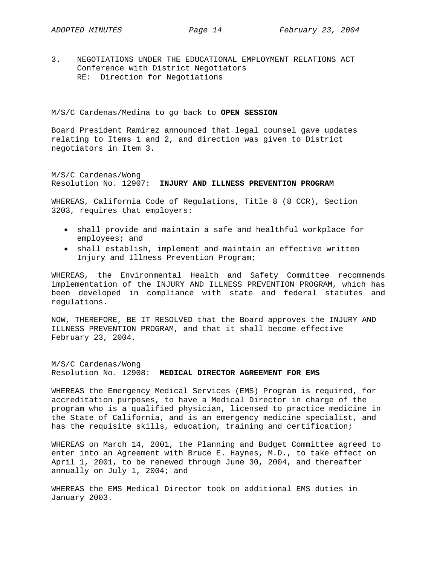3. NEGOTIATIONS UNDER THE EDUCATIONAL EMPLOYMENT RELATIONS ACT Conference with District Negotiators RE: Direction for Negotiations

M/S/C Cardenas/Medina to go back to **OPEN SESSION** 

Board President Ramirez announced that legal counsel gave updates relating to Items 1 and 2, and direction was given to District negotiators in Item 3.

M/S/C Cardenas/Wong Resolution No. 12907: **INJURY AND ILLNESS PREVENTION PROGRAM** 

WHEREAS, California Code of Regulations, Title 8 (8 CCR), Section 3203, requires that employers:

- shall provide and maintain a safe and healthful workplace for employees; and
- shall establish, implement and maintain an effective written Injury and Illness Prevention Program;

WHEREAS, the Environmental Health and Safety Committee recommends implementation of the INJURY AND ILLNESS PREVENTION PROGRAM, which has been developed in compliance with state and federal statutes and regulations.

NOW, THEREFORE, BE IT RESOLVED that the Board approves the INJURY AND ILLNESS PREVENTION PROGRAM, and that it shall become effective February 23, 2004.

M/S/C Cardenas/Wong Resolution No. 12908: **MEDICAL DIRECTOR AGREEMENT FOR EMS**

WHEREAS the Emergency Medical Services (EMS) Program is required, for accreditation purposes, to have a Medical Director in charge of the program who is a qualified physician, licensed to practice medicine in the State of California, and is an emergency medicine specialist, and has the requisite skills, education, training and certification;

WHEREAS on March 14, 2001, the Planning and Budget Committee agreed to enter into an Agreement with Bruce E. Haynes, M.D., to take effect on April 1, 2001, to be renewed through June 30, 2004, and thereafter annually on July 1, 2004; and

WHEREAS the EMS Medical Director took on additional EMS duties in January 2003.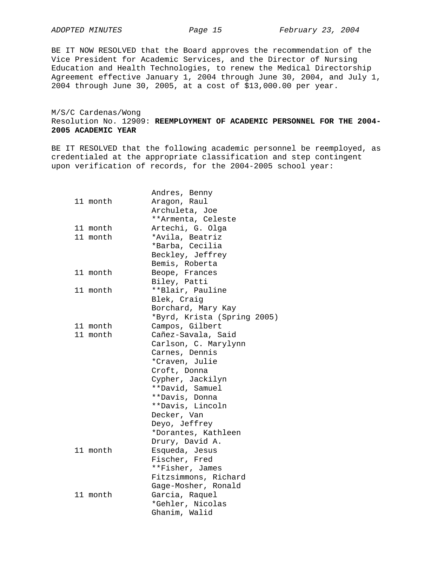BE IT NOW RESOLVED that the Board approves the recommendation of the Vice President for Academic Services, and the Director of Nursing Education and Health Technologies, to renew the Medical Directorship Agreement effective January 1, 2004 through June 30, 2004, and July 1, 2004 through June 30, 2005, at a cost of \$13,000.00 per year.

M/S/C Cardenas/Wong Resolution No. 12909: **REEMPLOYMENT OF ACADEMIC PERSONNEL FOR THE 2004- 2005 ACADEMIC YEAR**

BE IT RESOLVED that the following academic personnel be reemployed, as credentialed at the appropriate classification and step contingent upon verification of records, for the 2004-2005 school year:

| 11 month             | Andres, Benny<br>Aragon, Raul<br>Archuleta, Joe<br>**Armenta, Celeste                                                                                                                                                                                 |
|----------------------|-------------------------------------------------------------------------------------------------------------------------------------------------------------------------------------------------------------------------------------------------------|
| 11 month<br>11 month | Artechi, G. Olga<br>*Avila, Beatriz<br>*Barba, Cecilia<br>Beckley, Jeffrey<br>Bemis, Roberta                                                                                                                                                          |
| 11 month             | Beope, Frances<br>Biley, Patti                                                                                                                                                                                                                        |
| 11 month             | **Blair, Pauline<br>Blek, Craig<br>Borchard, Mary Kay<br>*Byrd, Krista (Spring 2005)                                                                                                                                                                  |
| 11 month             | Campos, Gilbert                                                                                                                                                                                                                                       |
| 11 month             | Cañez-Savala, Said<br>Carlson, C. Marylynn<br>Carnes, Dennis<br>*Craven, Julie<br>Croft, Donna<br>Cypher, Jackilyn<br>**David, Samuel<br>**Davis, Donna<br>**Davis, Lincoln<br>Decker, Van<br>Deyo, Jeffrey<br>*Dorantes, Kathleen<br>Drury, David A. |
| 11 month             | Esqueda, Jesus<br>Fischer, Fred<br>**Fisher, James<br>Fitzsimmons, Richard<br>Gage-Mosher, Ronald                                                                                                                                                     |
| 11 month             | Garcia, Raquel<br>*Gehler, Nicolas<br>Ghanim, Walid                                                                                                                                                                                                   |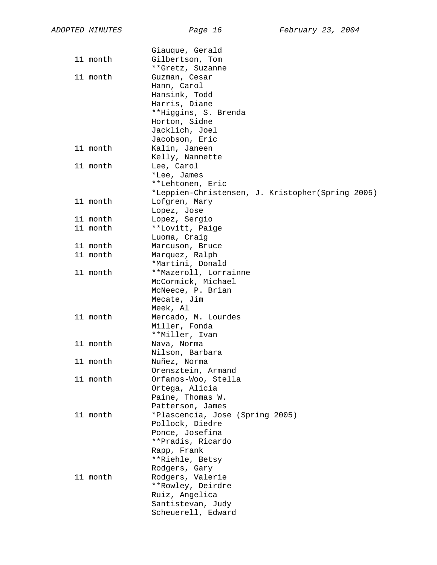|          | Giauque, Gerald                                  |
|----------|--------------------------------------------------|
| 11 month | Gilbertson, Tom                                  |
|          | **Gretz, Suzanne                                 |
| 11 month | Guzman, Cesar                                    |
|          | Hann, Carol                                      |
|          | Hansink, Todd                                    |
|          | Harris, Diane                                    |
|          | **Higgins, S. Brenda                             |
|          | Horton, Sidne                                    |
|          | Jacklich, Joel                                   |
|          | Jacobson, Eric                                   |
| 11 month | Kalin, Janeen                                    |
|          | Kelly, Nannette                                  |
| 11 month | Lee, Carol                                       |
|          | *Lee, James                                      |
|          | **Lehtonen, Eric                                 |
|          | *Leppien-Christensen, J. Kristopher(Spring 2005) |
| 11 month | Lofgren, Mary                                    |
|          | Lopez, Jose                                      |
| 11 month | Lopez, Sergio                                    |
| 11 month | **Lovitt, Paige                                  |
|          | Luoma, Craig                                     |
| 11 month | Marcuson, Bruce                                  |
| 11 month | Marquez, Ralph                                   |
|          | *Martini, Donald                                 |
| 11 month | **Mazeroll, Lorrainne                            |
|          | McCormick, Michael                               |
|          | McNeece, P. Brian<br>Mecate, Jim                 |
|          | Meek, Al                                         |
| 11 month | Mercado, M. Lourdes                              |
|          | Miller, Fonda                                    |
|          | **Miller, Ivan                                   |
| 11 month | Nava, Norma                                      |
|          | Nilson, Barbara                                  |
| 11 month | Nuñez, Norma                                     |
|          | Orensztein, Armand                               |
| 11 month | Orfanos-Woo, Stella                              |
|          | Ortega, Alicia                                   |
|          | Paine, Thomas W.                                 |
|          | Patterson, James                                 |
| 11 month | *Plascencia, Jose (Spring 2005)                  |
|          | Pollock, Diedre                                  |
|          | Ponce, Josefina                                  |
|          | **Pradis, Ricardo                                |
|          | Rapp, Frank                                      |
|          | **Riehle, Betsy                                  |
|          | Rodgers, Gary                                    |
| 11 month | Rodgers, Valerie                                 |
|          | **Rowley, Deirdre                                |
|          | Ruiz, Angelica                                   |
|          | Santistevan, Judy                                |
|          | Scheuerell, Edward                               |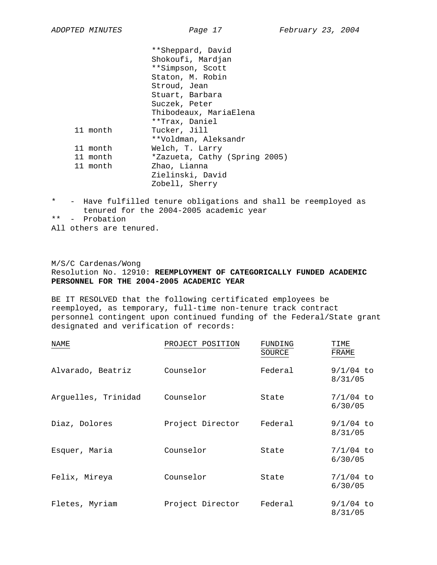|          | **Sheppard, David             |
|----------|-------------------------------|
|          | Shokoufi, Mardjan             |
|          | **Simpson, Scott              |
|          | Staton, M. Robin              |
|          | Stroud, Jean                  |
|          | Stuart, Barbara               |
|          | Suczek, Peter                 |
|          | Thibodeaux, MariaElena        |
|          | **Trax, Daniel                |
| 11 month | Tucker, Jill                  |
|          | **Voldman, Aleksandr          |
| 11 month | Welch, T. Larry               |
| 11 month | *Zazueta, Cathy (Spring 2005) |
| 11 month | Zhao, Lianna                  |
|          | Zielinski, David              |
|          | Zobell, Sherry                |
|          |                               |

- \* Have fulfilled tenure obligations and shall be reemployed as tenured for the 2004-2005 academic year
- \*\* Probation
- All others are tenured.

### M/S/C Cardenas/Wong Resolution No. 12910: **REEMPLOYMENT OF CATEGORICALLY FUNDED ACADEMIC PERSONNEL FOR THE 2004-2005 ACADEMIC YEAR**

BE IT RESOLVED that the following certificated employees be reemployed, as temporary, full-time non-tenure track contract personnel contingent upon continued funding of the Federal/State grant designated and verification of records:

| NAME                | PROJECT POSITION | FUNDING<br>SOURCE | TIME<br>FRAME          |
|---------------------|------------------|-------------------|------------------------|
| Alvarado, Beatriz   | Counselor        | Federal           | $9/1/04$ to<br>8/31/05 |
| Arguelles, Trinidad | Counselor        | State             | $7/1/04$ to<br>6/30/05 |
| Diaz, Dolores       | Project Director | Federal           | $9/1/04$ to<br>8/31/05 |
| Esquer, Maria       | Counselor        | State             | $7/1/04$ to<br>6/30/05 |
| Felix, Mireya       | Counselor        | State             | $7/1/04$ to<br>6/30/05 |
| Fletes, Myriam      | Project Director | Federal           | $9/1/04$ to<br>8/31/05 |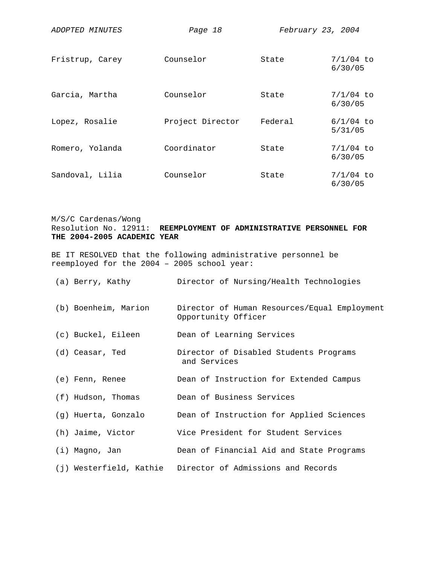| ADOPTED MINUTES | Page 18          | February 23, 2004 |                        |
|-----------------|------------------|-------------------|------------------------|
| Fristrup, Carey | Counselor        | State             | $7/1/04$ to<br>6/30/05 |
| Garcia, Martha  | Counselor        | State             | $7/1/04$ to<br>6/30/05 |
| Lopez, Rosalie  | Project Director | Federal           | $6/1/04$ to<br>5/31/05 |
| Romero, Yolanda | Coordinator      | State             | $7/1/04$ to<br>6/30/05 |
| Sandoval, Lilia | Counselor        | State             | $7/1/04$ to<br>6/30/05 |

### M/S/C Cardenas/Wong Resolution No. 12911: **REEMPLOYMENT OF ADMINISTRATIVE PERSONNEL FOR THE 2004-2005 ACADEMIC YEAR**

BE IT RESOLVED that the following administrative personnel be reemployed for the 2004 – 2005 school year:

| (a) Berry, Kathy     | Director of Nursing/Health Technologies                             |
|----------------------|---------------------------------------------------------------------|
| (b) Boenheim, Marion | Director of Human Resources/Equal Employment<br>Opportunity Officer |
| (c) Buckel, Eileen   | Dean of Learning Services                                           |
| (d) Ceasar, Ted      | Director of Disabled Students Programs<br>and Services              |
| (e) Fenn, Renee      | Dean of Instruction for Extended Campus                             |
| (f) Hudson, Thomas   | Dean of Business Services                                           |
| (g) Huerta, Gonzalo  | Dean of Instruction for Applied Sciences                            |
| (h) Jaime, Victor    | Vice President for Student Services                                 |
| (i) Magno, Jan       | Dean of Financial Aid and State Programs                            |
|                      | (j) Westerfield, Kathie Director of Admissions and Records          |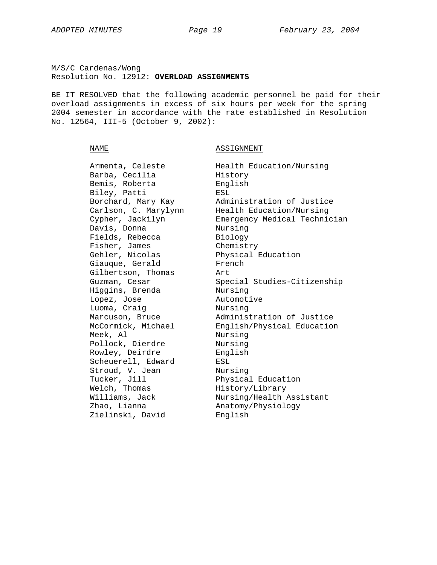M/S/C Cardenas/Wong Resolution No. 12912: **OVERLOAD ASSIGNMENTS**

BE IT RESOLVED that the following academic personnel be paid for their overload assignments in excess of six hours per week for the spring 2004 semester in accordance with the rate established in Resolution No. 12564, III-5 (October 9, 2002):

NAME NAME ASSIGNMENT

| Armenta, Celeste     | Health Education/Nursing     |
|----------------------|------------------------------|
| Barba, Cecilia       | History                      |
| Bemis, Roberta       | English                      |
| Biley, Patti         | ESL                          |
| Borchard, Mary Kay   | Administration of Justice    |
| Carlson, C. Marylynn | Health Education/Nursing     |
| Cypher, Jackilyn     | Emergency Medical Technician |
| Davis, Donna         | Nursing                      |
| Fields, Rebecca      | Biology                      |
| Fisher, James        | Chemistry                    |
| Gehler, Nicolas      | Physical Education           |
| Giauque, Gerald      | French                       |
| Gilbertson, Thomas   | Art.                         |
| Guzman, Cesar        | Special Studies-Citizenship  |
| Higgins, Brenda      | Nursing                      |
| Lopez, Jose          | Automotive                   |
| Luoma, Craig         | Nursing                      |
| Marcuson, Bruce      | Administration of Justice    |
| McCormick, Michael   | English/Physical Education   |
| Meek, Al             | Nursing                      |
| Pollock, Dierdre     | Nursing                      |
| Rowley, Deirdre      | English                      |
| Scheuerell, Edward   | ESL                          |
| Stroud, V. Jean      | Nursing                      |
| Tucker, Jill         | Physical Education           |
| Welch, Thomas        | History/Library              |
| Williams, Jack       | Nursing/Health Assistant     |
| Zhao, Lianna         | Anatomy/Physiology           |
| Zielinski, David     | English                      |
|                      |                              |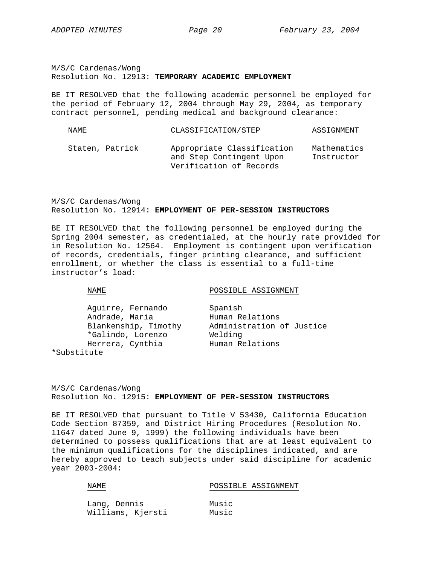M/S/C Cardenas/Wong Resolution No. 12913: **TEMPORARY ACADEMIC EMPLOYMENT**

BE IT RESOLVED that the following academic personnel be employed for the period of February 12, 2004 through May 29, 2004, as temporary contract personnel, pending medical and background clearance:

| NAME            | CLASSIFICATION/STEP                                                               | ASSIGNMENT                |
|-----------------|-----------------------------------------------------------------------------------|---------------------------|
| Staten, Patrick | Appropriate Classification<br>and Step Contingent Upon<br>Verification of Records | Mathematics<br>Instructor |

M/S/C Cardenas/Wong Resolution No. 12914: **EMPLOYMENT OF PER-SESSION INSTRUCTORS**

BE IT RESOLVED that the following personnel be employed during the Spring 2004 semester, as credentialed, at the hourly rate provided for in Resolution No. 12564. Employment is contingent upon verification of records, credentials, finger printing clearance, and sufficient enrollment, or whether the class is essential to a full-time instructor's load:

NAME NAME POSSIBLE ASSIGNMENT

| Aguirre, Fernando    | Spanish                   |
|----------------------|---------------------------|
| Andrade, Maria       | Human Relations           |
| Blankenship, Timothy | Administration of Justice |
| *Galindo, Lorenzo    | Welding                   |
| Herrera, Cynthia     | Human Relations           |
| *Substitute          |                           |

M/S/C Cardenas/Wong Resolution No. 12915: **EMPLOYMENT OF PER-SESSION INSTRUCTORS**

BE IT RESOLVED that pursuant to Title V 53430, California Education Code Section 87359, and District Hiring Procedures (Resolution No. 11647 dated June 9, 1999) the following individuals have been determined to possess qualifications that are at least equivalent to the minimum qualifications for the disciplines indicated, and are hereby approved to teach subjects under said discipline for academic year 2003-2004:

| NAME |  | POSSIBLE ASSIGNMENT |
|------|--|---------------------|
|      |  |                     |
|      |  |                     |

| Lang, Dennis      | Music |
|-------------------|-------|
| Williams, Kjersti | Music |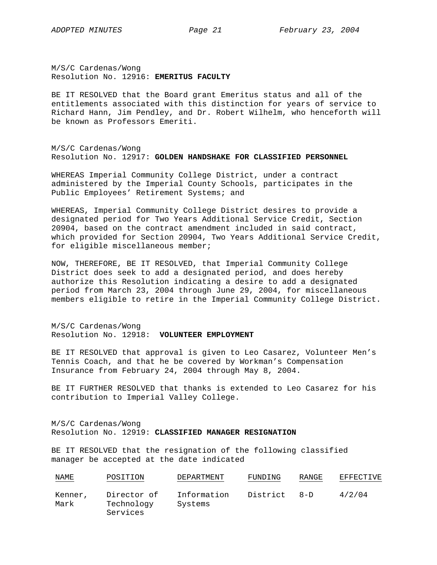M/S/C Cardenas/Wong Resolution No. 12916: **EMERITUS FACULTY**

BE IT RESOLVED that the Board grant Emeritus status and all of the entitlements associated with this distinction for years of service to Richard Hann, Jim Pendley, and Dr. Robert Wilhelm, who henceforth will be known as Professors Emeriti.

M/S/C Cardenas/Wong Resolution No. 12917: **GOLDEN HANDSHAKE FOR CLASSIFIED PERSONNEL**

WHEREAS Imperial Community College District, under a contract administered by the Imperial County Schools, participates in the Public Employees' Retirement Systems; and

WHEREAS, Imperial Community College District desires to provide a designated period for Two Years Additional Service Credit, Section 20904, based on the contract amendment included in said contract, which provided for Section 20904, Two Years Additional Service Credit, for eligible miscellaneous member;

NOW, THEREFORE, BE IT RESOLVED, that Imperial Community College District does seek to add a designated period, and does hereby authorize this Resolution indicating a desire to add a designated period from March 23, 2004 through June 29, 2004, for miscellaneous members eligible to retire in the Imperial Community College District.

M/S/C Cardenas/Wong Resolution No. 12918: **VOLUNTEER EMPLOYMENT**

BE IT RESOLVED that approval is given to Leo Casarez, Volunteer Men's Tennis Coach, and that he be covered by Workman's Compensation Insurance from February 24, 2004 through May 8, 2004.

BE IT FURTHER RESOLVED that thanks is extended to Leo Casarez for his contribution to Imperial Valley College.

M/S/C Cardenas/Wong Resolution No. 12919: **CLASSIFIED MANAGER RESIGNATION**

BE IT RESOLVED that the resignation of the following classified manager be accepted at the date indicated

| <u>NAME</u>     | POSITION                              | DEPARTMENT             | FUNDING  | RANGE   | EFFECTIVE |
|-----------------|---------------------------------------|------------------------|----------|---------|-----------|
| Kenner,<br>Mark | Director of<br>Technology<br>Services | Information<br>Systems | District | $R - D$ | 4/2/04    |